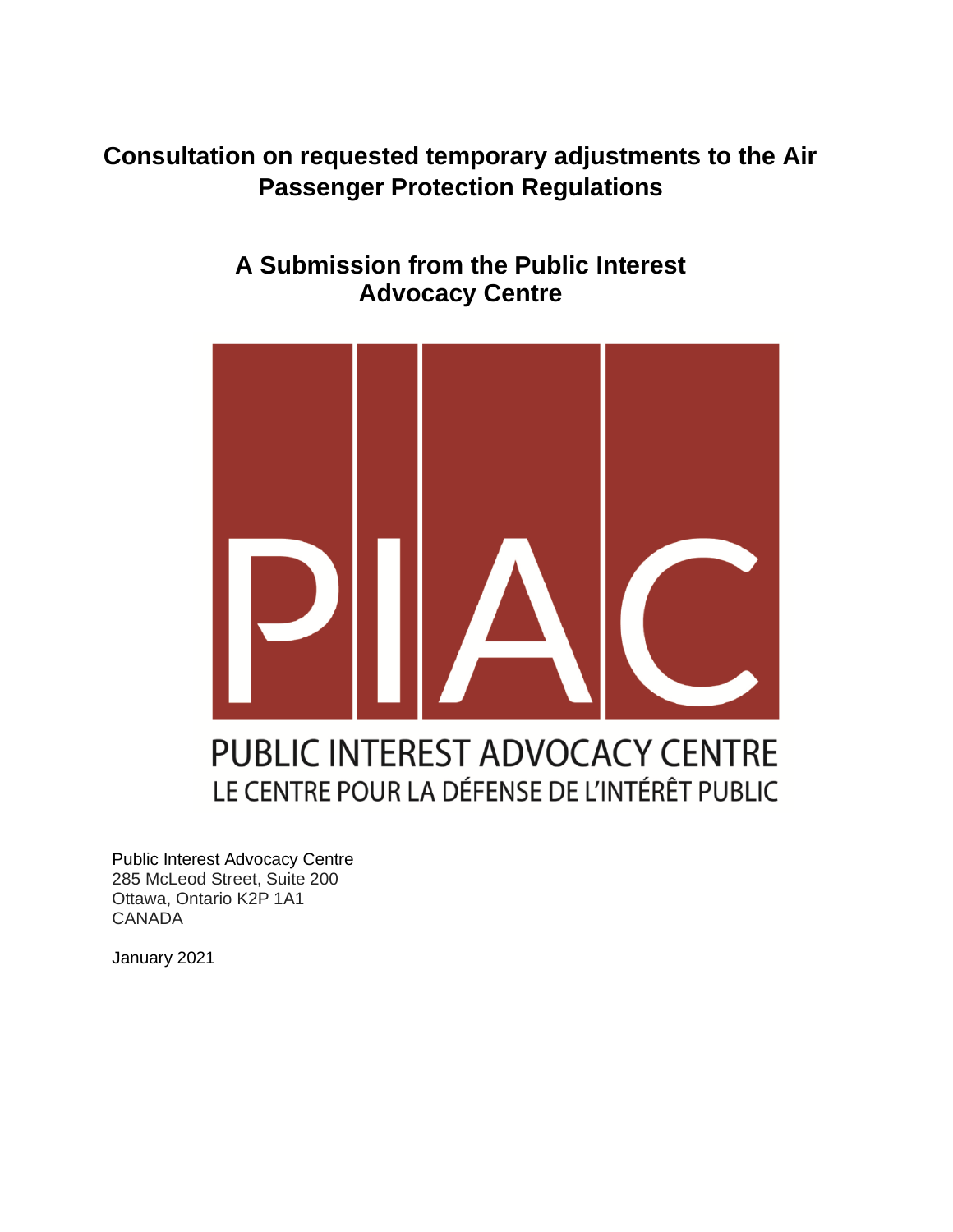## **Consultation on requested temporary adjustments to the Air Passenger Protection Regulations**

## **A Submission from the Public Interest Advocacy Centre**



# LE CENTRE POUR LA DÉFENSE DE L'INTÉRÊT PUBLIC

Public Interest Advocacy Centre 285 McLeod Street, Suite 200 Ottawa, Ontario K2P 1A1 **CANADA** 

January 2021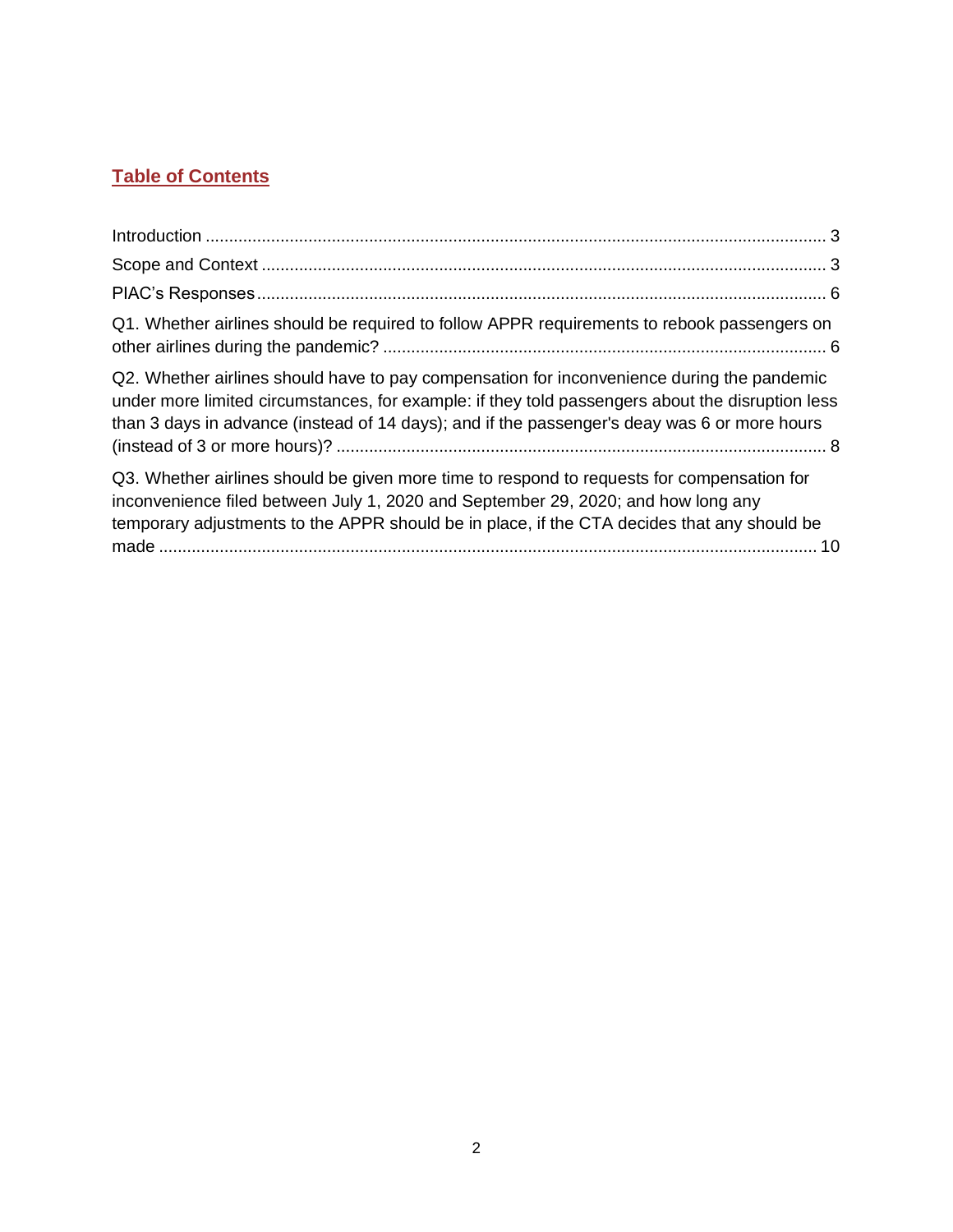### **Table of Contents**

| Q1. Whether airlines should be required to follow APPR requirements to rebook passengers on                                                                                                                                                                                                    |  |
|------------------------------------------------------------------------------------------------------------------------------------------------------------------------------------------------------------------------------------------------------------------------------------------------|--|
| Q2. Whether airlines should have to pay compensation for inconvenience during the pandemic<br>under more limited circumstances, for example: if they told passengers about the disruption less<br>than 3 days in advance (instead of 14 days); and if the passenger's deay was 6 or more hours |  |
| Q3. Whether airlines should be given more time to respond to requests for compensation for<br>inconvenience filed between July 1, 2020 and September 29, 2020; and how long any<br>temporary adjustments to the APPR should be in place, if the CTA decides that any should be                 |  |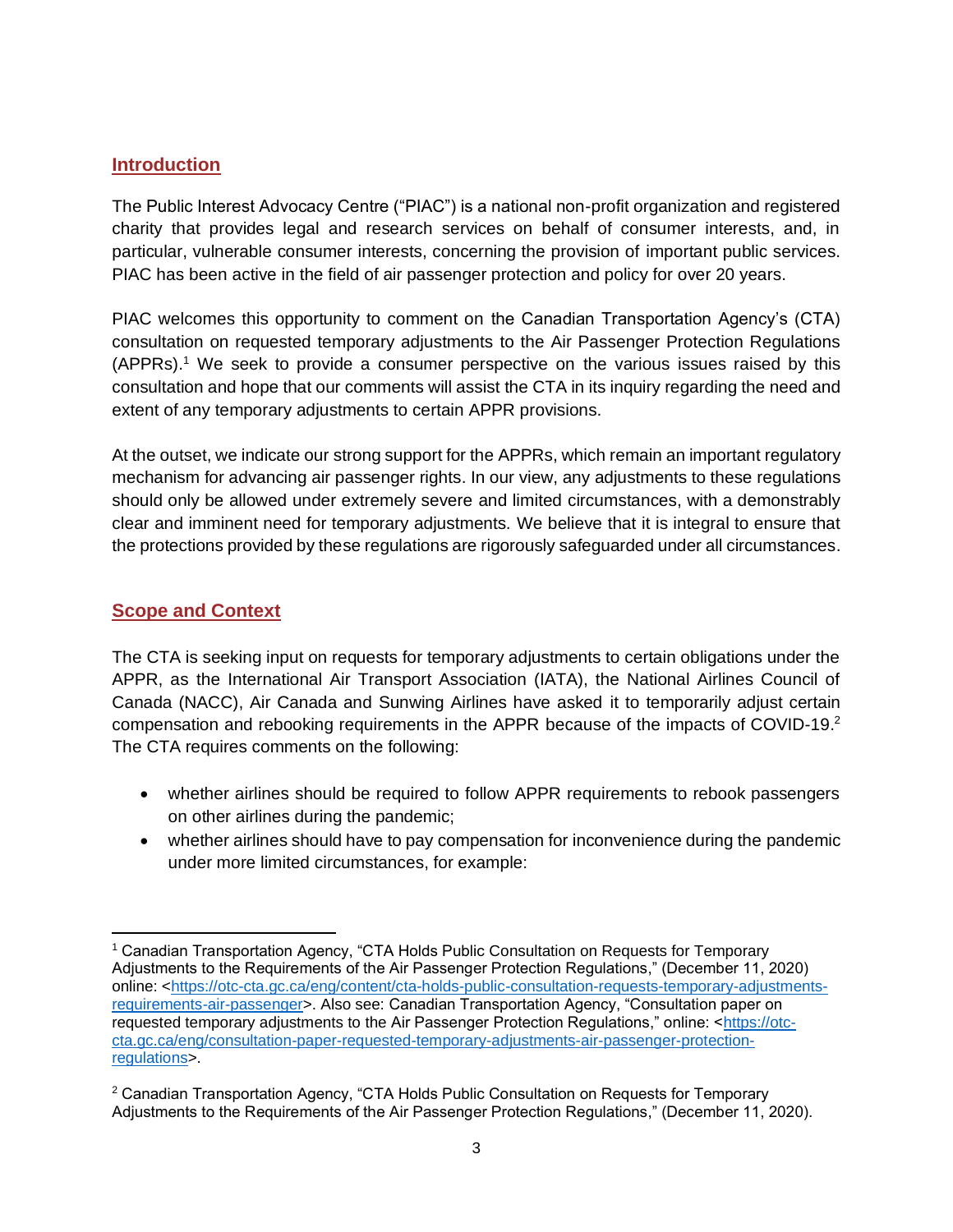#### <span id="page-2-0"></span>**Introduction**

The Public Interest Advocacy Centre ("PIAC") is a national non-profit organization and registered charity that provides legal and research services on behalf of consumer interests, and, in particular, vulnerable consumer interests, concerning the provision of important public services. PIAC has been active in the field of air passenger protection and policy for over 20 years.

PIAC welcomes this opportunity to comment on the Canadian Transportation Agency's (CTA) consultation on requested temporary adjustments to the Air Passenger Protection Regulations (APPRs). <sup>1</sup> We seek to provide a consumer perspective on the various issues raised by this consultation and hope that our comments will assist the CTA in its inquiry regarding the need and extent of any temporary adjustments to certain APPR provisions.

At the outset, we indicate our strong support for the APPRs, which remain an important regulatory mechanism for advancing air passenger rights. In our view, any adjustments to these regulations should only be allowed under extremely severe and limited circumstances, with a demonstrably clear and imminent need for temporary adjustments. We believe that it is integral to ensure that the protections provided by these regulations are rigorously safeguarded under all circumstances.

#### <span id="page-2-1"></span>**Scope and Context**

The CTA is seeking input on requests for temporary adjustments to certain obligations under the APPR, as the International Air Transport Association (IATA), the National Airlines Council of Canada (NACC), Air Canada and Sunwing Airlines have asked it to temporarily adjust certain compensation and rebooking requirements in the APPR because of the impacts of COVID-19.<sup>2</sup> The CTA requires comments on the following:

- whether airlines should be required to follow APPR requirements to rebook passengers on other airlines during the pandemic;
- whether airlines should have to pay compensation for inconvenience during the pandemic under more limited circumstances, for example:

<sup>1</sup> Canadian Transportation Agency, "CTA Holds Public Consultation on Requests for Temporary Adjustments to the Requirements of the Air Passenger Protection Regulations," (December 11, 2020) online: [<https://otc-cta.gc.ca/eng/content/cta-holds-public-consultation-requests-temporary-adjustments](https://otc-cta.gc.ca/eng/content/cta-holds-public-consultation-requests-temporary-adjustments-requirements-air-passenger)[requirements-air-passenger>](https://otc-cta.gc.ca/eng/content/cta-holds-public-consultation-requests-temporary-adjustments-requirements-air-passenger). Also see: Canadian Transportation Agency, "Consultation paper on requested temporary adjustments to the Air Passenger Protection Regulations," online: [<https://otc](https://otc-cta.gc.ca/eng/consultation-paper-requested-temporary-adjustments-air-passenger-protection-regulations)[cta.gc.ca/eng/consultation-paper-requested-temporary-adjustments-air-passenger-protection](https://otc-cta.gc.ca/eng/consultation-paper-requested-temporary-adjustments-air-passenger-protection-regulations)[regulations>](https://otc-cta.gc.ca/eng/consultation-paper-requested-temporary-adjustments-air-passenger-protection-regulations).

<sup>2</sup> Canadian Transportation Agency, "CTA Holds Public Consultation on Requests for Temporary Adjustments to the Requirements of the Air Passenger Protection Regulations," (December 11, 2020).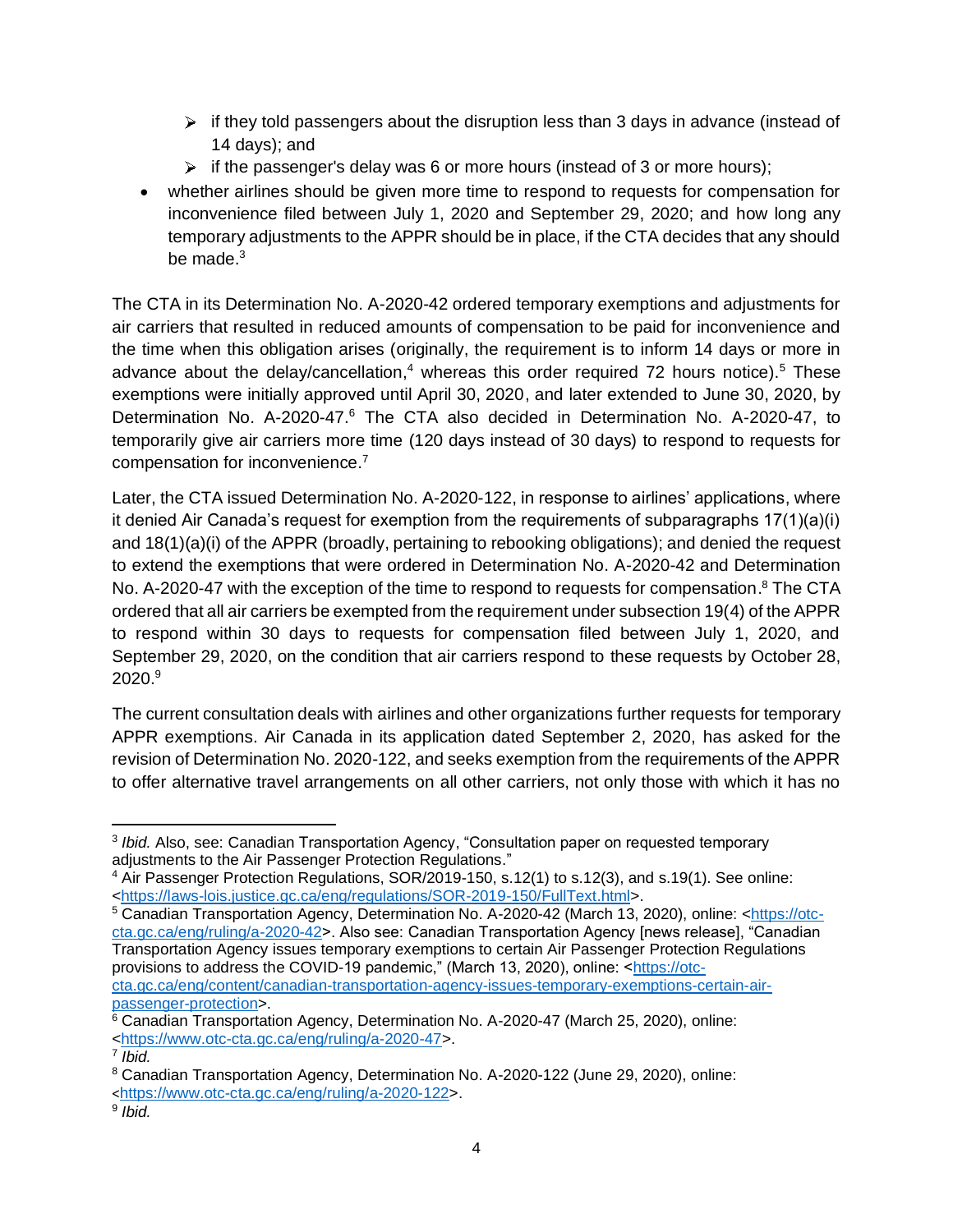- $\triangleright$  if they told passengers about the disruption less than 3 days in advance (instead of 14 days); and
- $\triangleright$  if the passenger's delay was 6 or more hours (instead of 3 or more hours);
- whether airlines should be given more time to respond to requests for compensation for inconvenience filed between July 1, 2020 and September 29, 2020; and how long any temporary adjustments to the APPR should be in place, if the CTA decides that any should be made. $3$

The CTA in its Determination No. A-2020-42 ordered temporary exemptions and adjustments for air carriers that resulted in reduced amounts of compensation to be paid for inconvenience and the time when this obligation arises (originally, the requirement is to inform 14 days or more in advance about the delay/cancellation,<sup>4</sup> whereas this order required 72 hours notice).<sup>5</sup> These exemptions were initially approved until April 30, 2020, and later extended to June 30, 2020, by Determination No. A-2020-47.<sup>6</sup> The CTA also decided in Determination No. A-2020-47, to temporarily give air carriers more time (120 days instead of 30 days) to respond to requests for compensation for inconvenience.<sup>7</sup>

Later, the CTA issued Determination No. A-2020-122, in response to airlines' applications, where it denied Air Canada's request for exemption from the requirements of subparagraphs 17(1)(a)(i) and 18(1)(a)(i) of the APPR (broadly, pertaining to rebooking obligations); and denied the request to extend the exemptions that were ordered in Determination No. A-2020-42 and Determination No. A-2020-47 with the exception of the time to respond to requests for compensation.<sup>8</sup> The CTA ordered that all air carriers be exempted from the requirement under subsection 19(4) of the APPR to respond within 30 days to requests for compensation filed between July 1, 2020, and September 29, 2020, on the condition that air carriers respond to these requests by October 28,  $2020.<sup>9</sup>$ 

The current consultation deals with airlines and other organizations further requests for temporary APPR exemptions. Air Canada in its application dated September 2, 2020, has asked for the revision of Determination No. 2020-122, and seeks exemption from the requirements of the APPR to offer alternative travel arrangements on all other carriers, not only those with which it has no

<sup>3</sup> *Ibid.* Also, see: Canadian Transportation Agency, "Consultation paper on requested temporary adjustments to the Air Passenger Protection Regulations."

<sup>4</sup> Air Passenger Protection Regulations, SOR/2019-150, s.12(1) to s.12(3), and s.19(1). See online: [<https://laws-lois.justice.gc.ca/eng/regulations/SOR-2019-150/FullText.html>](https://laws-lois.justice.gc.ca/eng/regulations/SOR-2019-150/FullText.html).

<sup>5</sup> Canadian Transportation Agency, Determination No. A-2020-42 (March 13, 2020), online: [<https://otc](https://otc-cta.gc.ca/eng/ruling/a-2020-42)[cta.gc.ca/eng/ruling/a-2020-42>](https://otc-cta.gc.ca/eng/ruling/a-2020-42). Also see: Canadian Transportation Agency [news release], "Canadian Transportation Agency issues temporary exemptions to certain Air Passenger Protection Regulations provisions to address the COVID-19 pandemic," (March 13, 2020), online: [<https://otc](https://otc-cta.gc.ca/eng/content/canadian-transportation-agency-issues-temporary-exemptions-certain-air-passenger-protection)[cta.gc.ca/eng/content/canadian-transportation-agency-issues-temporary-exemptions-certain-air](https://otc-cta.gc.ca/eng/content/canadian-transportation-agency-issues-temporary-exemptions-certain-air-passenger-protection)[passenger-protection>](https://otc-cta.gc.ca/eng/content/canadian-transportation-agency-issues-temporary-exemptions-certain-air-passenger-protection).

<sup>6</sup> Canadian Transportation Agency, Determination No. A-2020-47 (March 25, 2020), online: [<https://www.otc-cta.gc.ca/eng/ruling/a-2020-47>](https://www.otc-cta.gc.ca/eng/ruling/a-2020-47).

<sup>7</sup> *Ibid.*

<sup>8</sup> Canadian Transportation Agency, Determination No. A-2020-122 (June 29, 2020), online: <[https://www.otc-cta.gc.ca/eng/ruling/a-2020-122>](https://www.otc-cta.gc.ca/eng/ruling/a-2020-122).

<sup>9</sup> *Ibid.*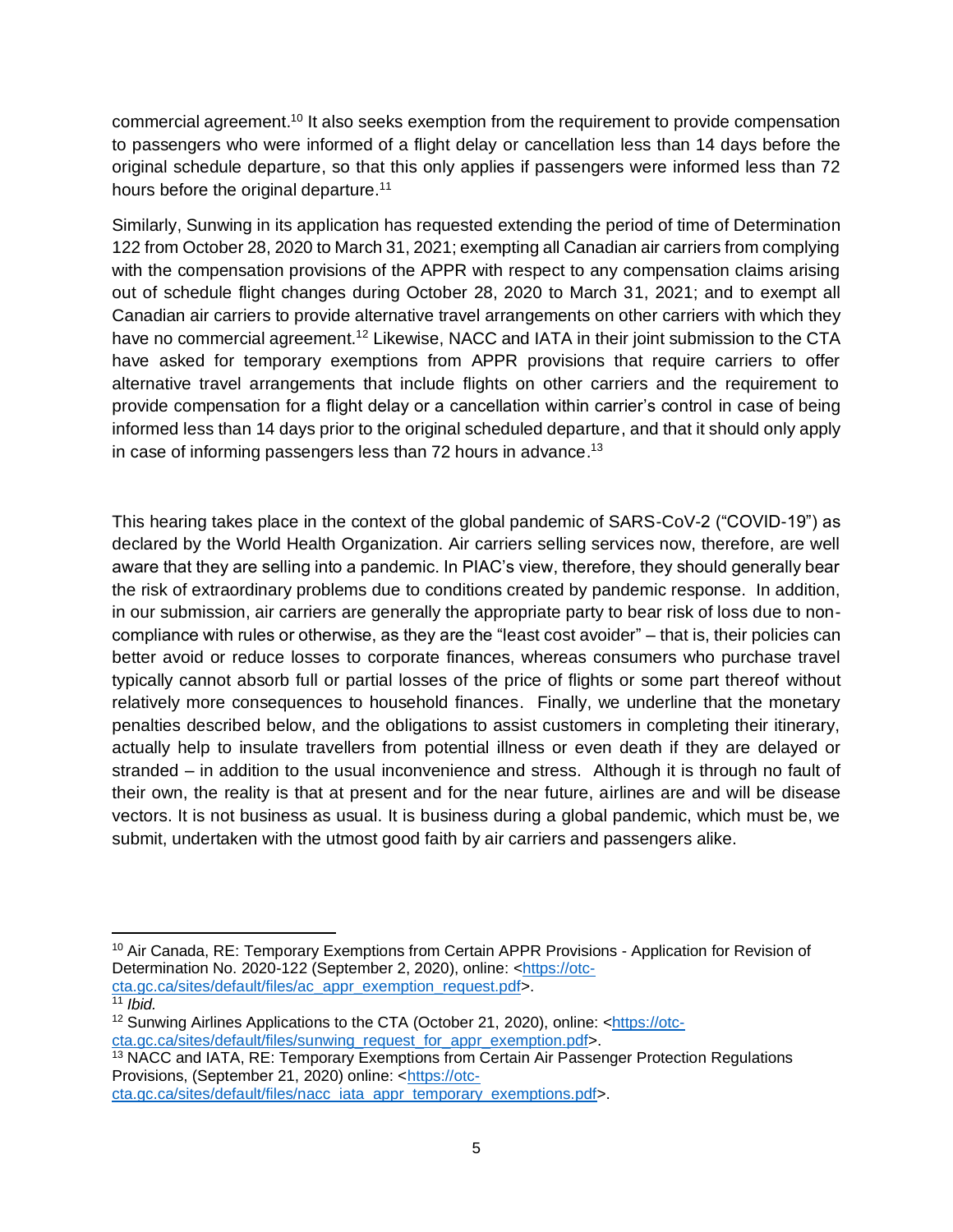commercial agreement.<sup>10</sup> It also seeks exemption from the requirement to provide compensation to passengers who were informed of a flight delay or cancellation less than 14 days before the original schedule departure, so that this only applies if passengers were informed less than 72 hours before the original departure.<sup>11</sup>

Similarly, Sunwing in its application has requested extending the period of time of Determination 122 from October 28, 2020 to March 31, 2021; exempting all Canadian air carriers from complying with the compensation provisions of the APPR with respect to any compensation claims arising out of schedule flight changes during October 28, 2020 to March 31, 2021; and to exempt all Canadian air carriers to provide alternative travel arrangements on other carriers with which they have no commercial agreement.<sup>12</sup> Likewise, NACC and IATA in their joint submission to the CTA have asked for temporary exemptions from APPR provisions that require carriers to offer alternative travel arrangements that include flights on other carriers and the requirement to provide compensation for a flight delay or a cancellation within carrier's control in case of being informed less than 14 days prior to the original scheduled departure, and that it should only apply in case of informing passengers less than 72 hours in advance. 13

This hearing takes place in the context of the global pandemic of SARS-CoV-2 ("COVID-19") as declared by the World Health Organization. Air carriers selling services now, therefore, are well aware that they are selling into a pandemic. In PIAC's view, therefore, they should generally bear the risk of extraordinary problems due to conditions created by pandemic response. In addition, in our submission, air carriers are generally the appropriate party to bear risk of loss due to noncompliance with rules or otherwise, as they are the "least cost avoider" – that is, their policies can better avoid or reduce losses to corporate finances, whereas consumers who purchase travel typically cannot absorb full or partial losses of the price of flights or some part thereof without relatively more consequences to household finances. Finally, we underline that the monetary penalties described below, and the obligations to assist customers in completing their itinerary, actually help to insulate travellers from potential illness or even death if they are delayed or stranded – in addition to the usual inconvenience and stress. Although it is through no fault of their own, the reality is that at present and for the near future, airlines are and will be disease vectors. It is not business as usual. It is business during a global pandemic, which must be, we submit, undertaken with the utmost good faith by air carriers and passengers alike.

<sup>&</sup>lt;sup>10</sup> Air Canada, RE: Temporary Exemptions from Certain APPR Provisions - Application for Revision of Determination No. 2020-122 (September 2, 2020), online: [<https://otc](https://otc-cta.gc.ca/sites/default/files/ac_appr_exemption_request.pdf)[cta.gc.ca/sites/default/files/ac\\_appr\\_exemption\\_request.pdf>](https://otc-cta.gc.ca/sites/default/files/ac_appr_exemption_request.pdf).

 $\overline{11}$  *Ibid.* 

<sup>&</sup>lt;sup>12</sup> Sunwing Airlines Applications to the CTA (October 21, 2020), online: [<https://otc](https://otc-cta.gc.ca/sites/default/files/sunwing_request_for_appr_exemption.pdf)[cta.gc.ca/sites/default/files/sunwing\\_request\\_for\\_appr\\_exemption.pdf>](https://otc-cta.gc.ca/sites/default/files/sunwing_request_for_appr_exemption.pdf).

<sup>&</sup>lt;sup>13</sup> NACC and IATA, RE: Temporary Exemptions from Certain Air Passenger Protection Regulations Provisions, (September 21, 2020) online: [<https://otc-](https://otc-cta.gc.ca/sites/default/files/nacc_iata_appr_temporary_exemptions.pdf)

[cta.gc.ca/sites/default/files/nacc\\_iata\\_appr\\_temporary\\_exemptions.pdf>](https://otc-cta.gc.ca/sites/default/files/nacc_iata_appr_temporary_exemptions.pdf).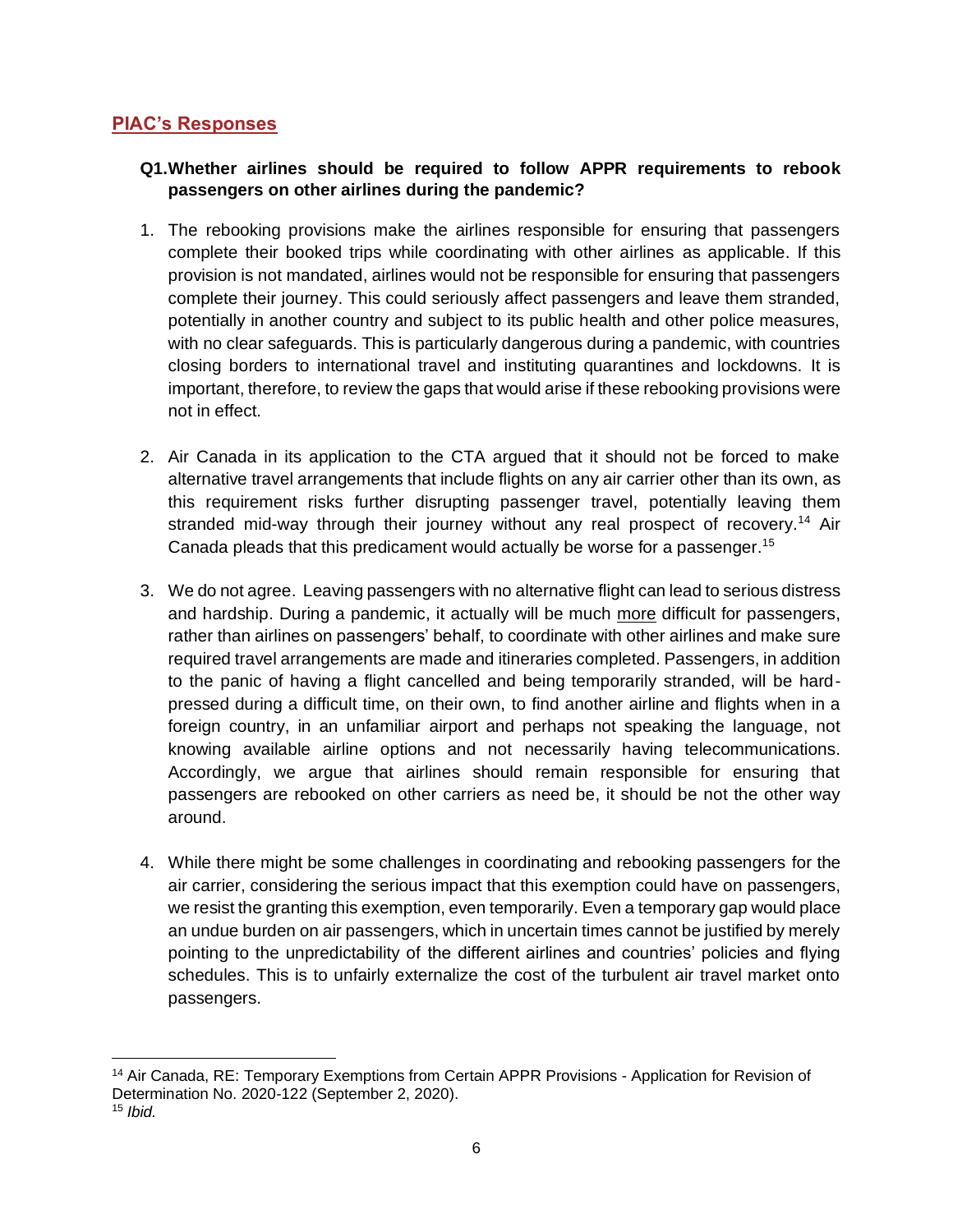#### <span id="page-5-0"></span>**PIAC's Responses**

#### <span id="page-5-1"></span>**Q1.Whether airlines should be required to follow APPR requirements to rebook passengers on other airlines during the pandemic?**

- 1. The rebooking provisions make the airlines responsible for ensuring that passengers complete their booked trips while coordinating with other airlines as applicable. If this provision is not mandated, airlines would not be responsible for ensuring that passengers complete their journey. This could seriously affect passengers and leave them stranded, potentially in another country and subject to its public health and other police measures, with no clear safeguards. This is particularly dangerous during a pandemic, with countries closing borders to international travel and instituting quarantines and lockdowns. It is important, therefore, to review the gaps that would arise if these rebooking provisions were not in effect.
- 2. Air Canada in its application to the CTA argued that it should not be forced to make alternative travel arrangements that include flights on any air carrier other than its own, as this requirement risks further disrupting passenger travel, potentially leaving them stranded mid-way through their journey without any real prospect of recovery.<sup>14</sup> Air Canada pleads that this predicament would actually be worse for a passenger.<sup>15</sup>
- 3. We do not agree. Leaving passengers with no alternative flight can lead to serious distress and hardship. During a pandemic, it actually will be much more difficult for passengers, rather than airlines on passengers' behalf, to coordinate with other airlines and make sure required travel arrangements are made and itineraries completed. Passengers, in addition to the panic of having a flight cancelled and being temporarily stranded, will be hardpressed during a difficult time, on their own, to find another airline and flights when in a foreign country, in an unfamiliar airport and perhaps not speaking the language, not knowing available airline options and not necessarily having telecommunications. Accordingly, we argue that airlines should remain responsible for ensuring that passengers are rebooked on other carriers as need be, it should be not the other way around.
- 4. While there might be some challenges in coordinating and rebooking passengers for the air carrier, considering the serious impact that this exemption could have on passengers, we resist the granting this exemption, even temporarily. Even a temporary gap would place an undue burden on air passengers, which in uncertain times cannot be justified by merely pointing to the unpredictability of the different airlines and countries' policies and flying schedules. This is to unfairly externalize the cost of the turbulent air travel market onto passengers.

<sup>14</sup> Air Canada, RE: Temporary Exemptions from Certain APPR Provisions - Application for Revision of Determination No. 2020-122 (September 2, 2020).

<sup>15</sup> *Ibid.*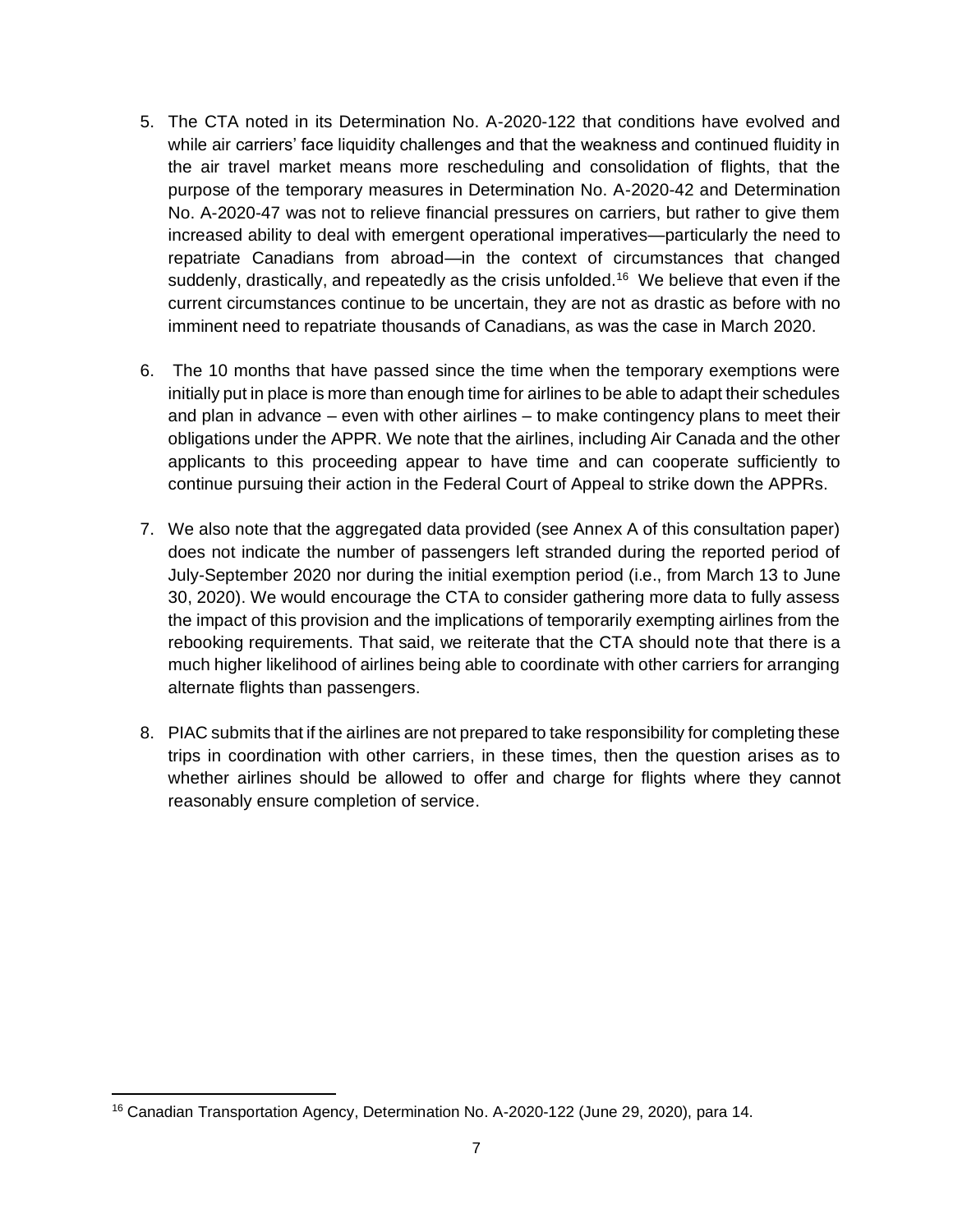- 5. The CTA noted in its Determination No. A-2020-122 that conditions have evolved and while air carriers' face liquidity challenges and that the weakness and continued fluidity in the air travel market means more rescheduling and consolidation of flights, that the purpose of the temporary measures in Determination No. A-2020-42 and Determination No. A-2020-47 was not to relieve financial pressures on carriers, but rather to give them increased ability to deal with emergent operational imperatives—particularly the need to repatriate Canadians from abroad—in the context of circumstances that changed suddenly, drastically, and repeatedly as the crisis unfolded.<sup>16</sup> We believe that even if the current circumstances continue to be uncertain, they are not as drastic as before with no imminent need to repatriate thousands of Canadians, as was the case in March 2020.
- 6. The 10 months that have passed since the time when the temporary exemptions were initially put in place is more than enough time for airlines to be able to adapt their schedules and plan in advance – even with other airlines – to make contingency plans to meet their obligations under the APPR. We note that the airlines, including Air Canada and the other applicants to this proceeding appear to have time and can cooperate sufficiently to continue pursuing their action in the Federal Court of Appeal to strike down the APPRs.
- 7. We also note that the aggregated data provided (see Annex A of this consultation paper) does not indicate the number of passengers left stranded during the reported period of July-September 2020 nor during the initial exemption period (i.e., from March 13 to June 30, 2020). We would encourage the CTA to consider gathering more data to fully assess the impact of this provision and the implications of temporarily exempting airlines from the rebooking requirements. That said, we reiterate that the CTA should note that there is a much higher likelihood of airlines being able to coordinate with other carriers for arranging alternate flights than passengers.
- 8. PIAC submits that if the airlines are not prepared to take responsibility for completing these trips in coordination with other carriers, in these times, then the question arises as to whether airlines should be allowed to offer and charge for flights where they cannot reasonably ensure completion of service.

<sup>&</sup>lt;sup>16</sup> Canadian Transportation Agency, Determination No. A-2020-122 (June 29, 2020), para 14.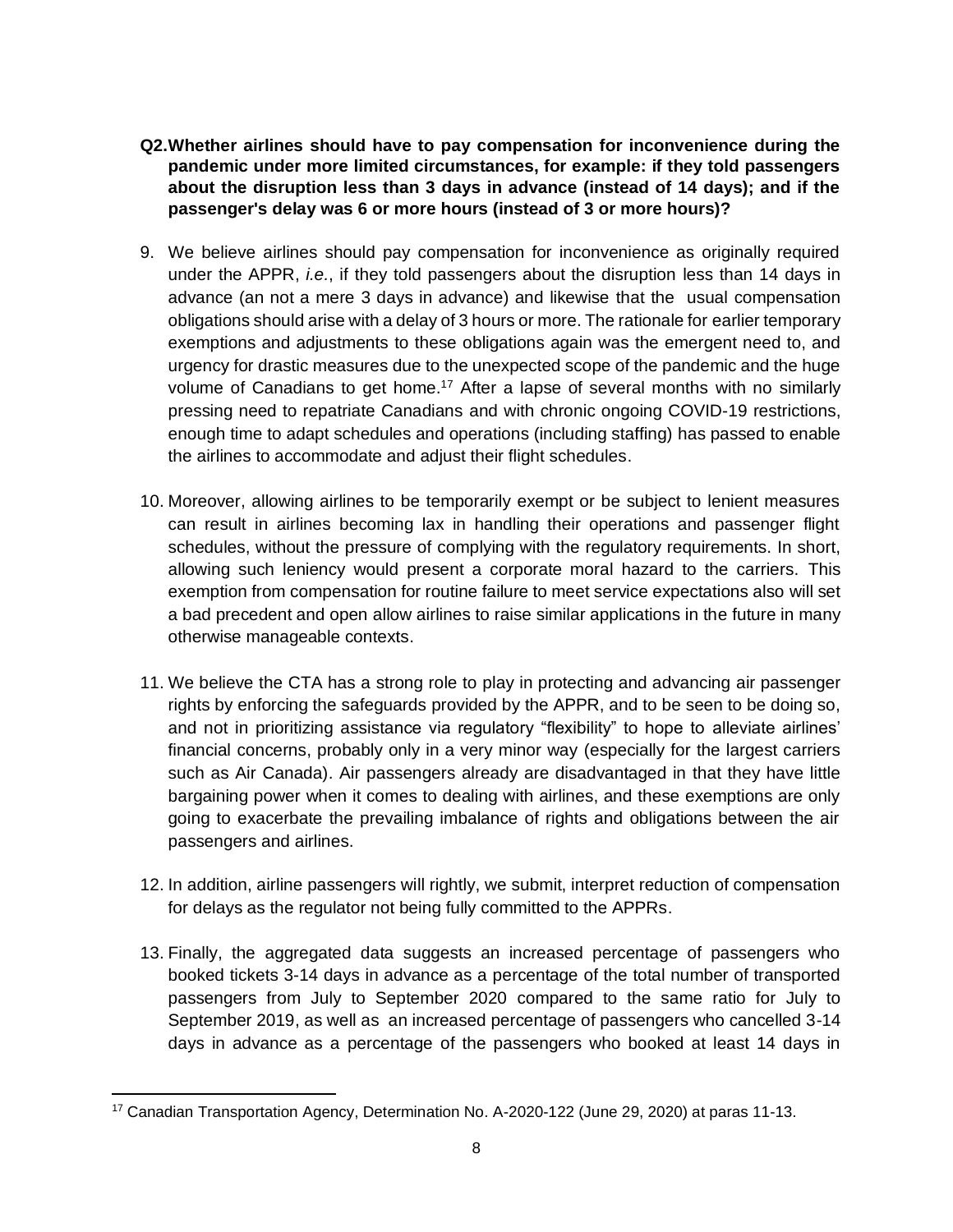- <span id="page-7-0"></span>**Q2.Whether airlines should have to pay compensation for inconvenience during the pandemic under more limited circumstances, for example: if they told passengers about the disruption less than 3 days in advance (instead of 14 days); and if the passenger's delay was 6 or more hours (instead of 3 or more hours)?**
- 9. We believe airlines should pay compensation for inconvenience as originally required under the APPR, *i.e.*, if they told passengers about the disruption less than 14 days in advance (an not a mere 3 days in advance) and likewise that the usual compensation obligations should arise with a delay of 3 hours or more. The rationale for earlier temporary exemptions and adjustments to these obligations again was the emergent need to, and urgency for drastic measures due to the unexpected scope of the pandemic and the huge volume of Canadians to get home.<sup>17</sup> After a lapse of several months with no similarly pressing need to repatriate Canadians and with chronic ongoing COVID-19 restrictions, enough time to adapt schedules and operations (including staffing) has passed to enable the airlines to accommodate and adjust their flight schedules.
- 10. Moreover, allowing airlines to be temporarily exempt or be subject to lenient measures can result in airlines becoming lax in handling their operations and passenger flight schedules, without the pressure of complying with the regulatory requirements. In short, allowing such leniency would present a corporate moral hazard to the carriers. This exemption from compensation for routine failure to meet service expectations also will set a bad precedent and open allow airlines to raise similar applications in the future in many otherwise manageable contexts.
- 11. We believe the CTA has a strong role to play in protecting and advancing air passenger rights by enforcing the safeguards provided by the APPR, and to be seen to be doing so, and not in prioritizing assistance via regulatory "flexibility" to hope to alleviate airlines' financial concerns, probably only in a very minor way (especially for the largest carriers such as Air Canada). Air passengers already are disadvantaged in that they have little bargaining power when it comes to dealing with airlines, and these exemptions are only going to exacerbate the prevailing imbalance of rights and obligations between the air passengers and airlines.
- 12. In addition, airline passengers will rightly, we submit, interpret reduction of compensation for delays as the regulator not being fully committed to the APPRs.
- 13. Finally, the aggregated data suggests an increased percentage of passengers who booked tickets 3-14 days in advance as a percentage of the total number of transported passengers from July to September 2020 compared to the same ratio for July to September 2019, as well as an increased percentage of passengers who cancelled 3-14 days in advance as a percentage of the passengers who booked at least 14 days in

<sup>17</sup> Canadian Transportation Agency, Determination No. A-2020-122 (June 29, 2020) at paras 11-13.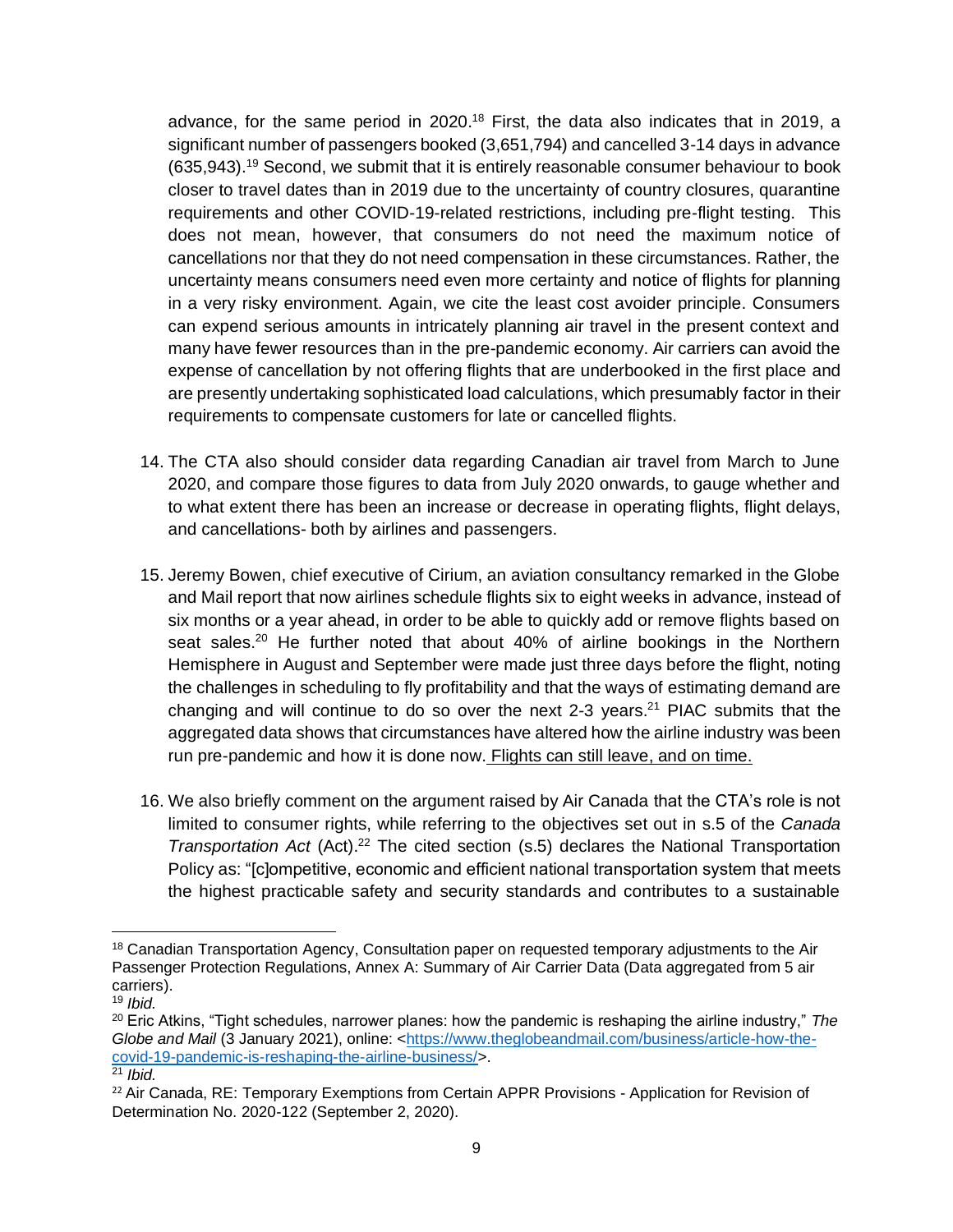advance, for the same period in 2020.<sup>18</sup> First, the data also indicates that in 2019, a significant number of passengers booked (3,651,794) and cancelled 3-14 days in advance (635,943). <sup>19</sup> Second, we submit that it is entirely reasonable consumer behaviour to book closer to travel dates than in 2019 due to the uncertainty of country closures, quarantine requirements and other COVID-19-related restrictions, including pre-flight testing. This does not mean, however, that consumers do not need the maximum notice of cancellations nor that they do not need compensation in these circumstances. Rather, the uncertainty means consumers need even more certainty and notice of flights for planning in a very risky environment. Again, we cite the least cost avoider principle. Consumers can expend serious amounts in intricately planning air travel in the present context and many have fewer resources than in the pre-pandemic economy. Air carriers can avoid the expense of cancellation by not offering flights that are underbooked in the first place and are presently undertaking sophisticated load calculations, which presumably factor in their requirements to compensate customers for late or cancelled flights.

- 14. The CTA also should consider data regarding Canadian air travel from March to June 2020, and compare those figures to data from July 2020 onwards, to gauge whether and to what extent there has been an increase or decrease in operating flights, flight delays, and cancellations- both by airlines and passengers.
- 15. Jeremy Bowen, chief executive of Cirium, an aviation consultancy remarked in the Globe and Mail report that now airlines schedule flights six to eight weeks in advance, instead of six months or a year ahead, in order to be able to quickly add or remove flights based on seat sales.<sup>20</sup> He further noted that about 40% of airline bookings in the Northern Hemisphere in August and September were made just three days before the flight, noting the challenges in scheduling to fly profitability and that the ways of estimating demand are changing and will continue to do so over the next  $2-3$  years.<sup>21</sup> PIAC submits that the aggregated data shows that circumstances have altered how the airline industry was been run pre-pandemic and how it is done now. Flights can still leave, and on time.
- 16. We also briefly comment on the argument raised by Air Canada that the CTA's role is not limited to consumer rights, while referring to the objectives set out in s.5 of the *Canada Transportation Act* (Act). <sup>22</sup> The cited section (s.5) declares the National Transportation Policy as: "[c]ompetitive, economic and efficient national transportation system that meets the highest practicable safety and security standards and contributes to a sustainable

<sup>&</sup>lt;sup>18</sup> Canadian Transportation Agency, Consultation paper on requested temporary adjustments to the Air Passenger Protection Regulations, Annex A: Summary of Air Carrier Data (Data aggregated from 5 air carriers).

<sup>19</sup> *Ibid.*

<sup>20</sup> Eric Atkins, "Tight schedules, narrower planes: how the pandemic is reshaping the airline industry," *The Globe and Mail* (3 January 2021), online: [<https://www.theglobeandmail.com/business/article-how-the](https://www.theglobeandmail.com/business/article-how-the-covid-19-pandemic-is-reshaping-the-airline-business/)[covid-19-pandemic-is-reshaping-the-airline-business/>](https://www.theglobeandmail.com/business/article-how-the-covid-19-pandemic-is-reshaping-the-airline-business/). <sup>21</sup> *Ibid.*

<sup>&</sup>lt;sup>22</sup> Air Canada, RE: Temporary Exemptions from Certain APPR Provisions - Application for Revision of Determination No. 2020-122 (September 2, 2020).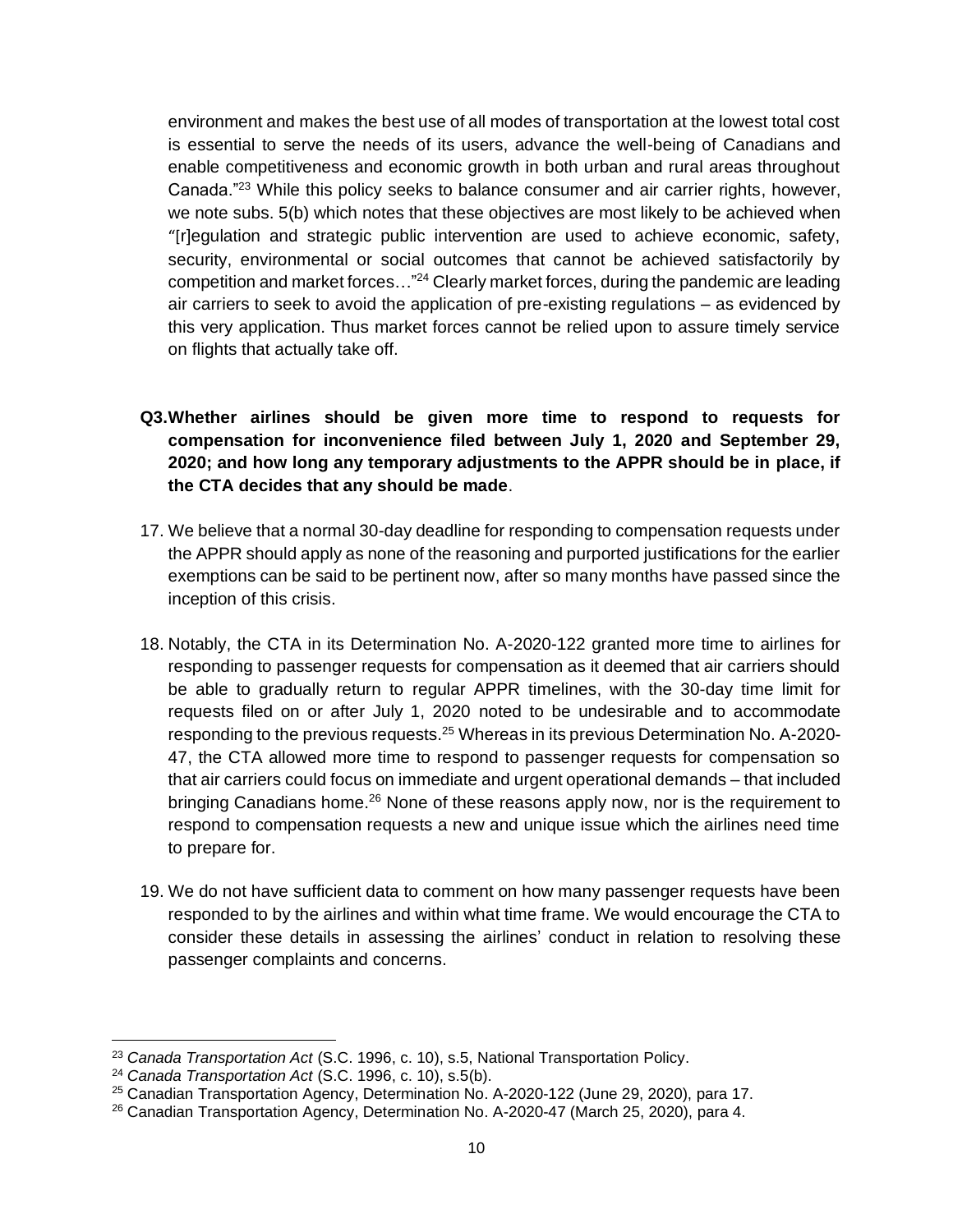environment and makes the best use of all modes of transportation at the lowest total cost is essential to serve the needs of its users, advance the well-being of Canadians and enable competitiveness and economic growth in both urban and rural areas throughout Canada."<sup>23</sup> While this policy seeks to balance consumer and air carrier rights, however, we note subs. 5(b) which notes that these objectives are most likely to be achieved when "[r]egulation and strategic public intervention are used to achieve economic, safety, security, environmental or social outcomes that cannot be achieved satisfactorily by competition and market forces..."<sup>24</sup> Clearly market forces, during the pandemic are leading air carriers to seek to avoid the application of pre-existing regulations – as evidenced by this very application. Thus market forces cannot be relied upon to assure timely service on flights that actually take off.

- <span id="page-9-0"></span>**Q3.Whether airlines should be given more time to respond to requests for compensation for inconvenience filed between July 1, 2020 and September 29, 2020; and how long any temporary adjustments to the APPR should be in place, if the CTA decides that any should be made**.
- 17. We believe that a normal 30-day deadline for responding to compensation requests under the APPR should apply as none of the reasoning and purported justifications for the earlier exemptions can be said to be pertinent now, after so many months have passed since the inception of this crisis.
- 18. Notably, the CTA in its Determination No. A-2020-122 granted more time to airlines for responding to passenger requests for compensation as it deemed that air carriers should be able to gradually return to regular APPR timelines, with the 30-day time limit for requests filed on or after July 1, 2020 noted to be undesirable and to accommodate responding to the previous requests.<sup>25</sup> Whereas in its previous Determination No. A-2020-47, the CTA allowed more time to respond to passenger requests for compensation so that air carriers could focus on immediate and urgent operational demands – that included bringing Canadians home.<sup>26</sup> None of these reasons apply now, nor is the requirement to respond to compensation requests a new and unique issue which the airlines need time to prepare for.
- 19. We do not have sufficient data to comment on how many passenger requests have been responded to by the airlines and within what time frame. We would encourage the CTA to consider these details in assessing the airlines' conduct in relation to resolving these passenger complaints and concerns.

<sup>23</sup> *Canada Transportation Act* (S.C. 1996, c. 10), s.5, National Transportation Policy.

<sup>24</sup> *Canada Transportation Act* (S.C. 1996, c. 10), s.5(b).

<sup>&</sup>lt;sup>25</sup> Canadian Transportation Agency, Determination No. A-2020-122 (June 29, 2020), para 17.

<sup>&</sup>lt;sup>26</sup> Canadian Transportation Agency, Determination No. A-2020-47 (March 25, 2020), para 4.